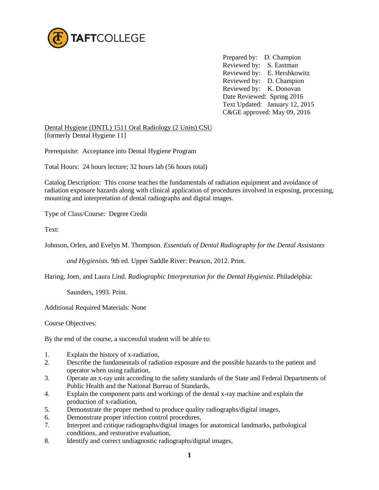

 Prepared by: D. Champion Reviewed by: S. Eastman Reviewed by: E. Hershkowitz Reviewed by: D. Champion Reviewed by: K. Donovan Date Reviewed: Spring 2016 Text Updated: January 12, 2015 C&GE approved: May 09, 2016

Dental Hygiene (DNTL) 1511 Oral Radiology (2 Units) CSU [formerly Dental Hygiene 11]

Prerequisite: Acceptance into Dental Hygiene Program

Total Hours: 24 hours lecture; 32 hours lab (56 hours total)

Catalog Description: This course teaches the fundamentals of radiation equipment and avoidance of radiation exposure hazards along with clinical application of procedures involved in exposing, processing, mounting and interpretation of dental radiographs and digital images.

Type of Class/Course: Degree Credit

Text:

Johnson, Orlen, and Evelyn M. Thompson. *Essentials of Dental Radiography for the Dental Assistants* 

*and Hygienists.* 9th ed. Upper Saddle River: Pearson, 2012. Print.

Haring, Joen, and Laura Lind. *Radiographic Interpretation for the Dental Hygienist*. Philadelphia:

Saunders, 1993. Print.

Additional Required Materials: None

Course Objectives:

By the end of the course, a successful student will be able to:

- 1. Explain the history of x-radiation,
- 2. Describe the fundamentals of radiation exposure and the possible hazards to the patient and operator when using radiation,
- 3. Operate an x-ray unit according to the safety standards of the State and Federal Departments of Public Health and the National Bureau of Standards,
- 4. Explain the component parts and workings of the dental x-ray machine and explain the production of x-radiation,
- 5. Demonstrate the proper method to produce quality radiographs/digital images,
- 6. Demonstrate proper infection control procedures,
- 7. Interpret and critique radiographs/digital images for anatomical landmarks, pathological conditions, and restorative evaluation,
- 8. Identify and correct undiagnostic radiographs/digital images,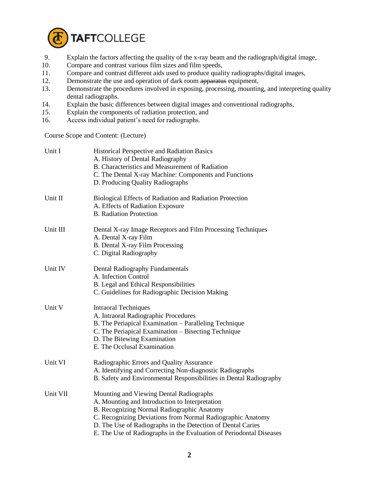

- 9. Explain the factors affecting the quality of the x-ray beam and the radiograph/digital image, 10. Compare and contrast various film sizes and film speeds.
- Compare and contrast various film sizes and film speeds,
- 11. Compare and contrast different aids used to produce quality radiographs/digital images,
- 12. Demonstrate the use and operation of dark room apparatus equipment,
- 13. Demonstrate the procedures involved in exposing, processing, mounting, and interpreting quality dental radiographs.
- 14. Explain the basic differences between digital images and conventional radiographs,
- 15. Explain the components of radiation protection, and
- 16. Access individual patient's need for radiographs.

Course Scope and Content: (Lecture)

| Unit I   | <b>Historical Perspective and Radiation Basics</b><br>A. History of Dental Radiography<br>B. Characteristics and Measurement of Radiation<br>C. The Dental X-ray Machine: Components and Functions<br>D. Producing Quality Radiographs                                                                                                      |  |
|----------|---------------------------------------------------------------------------------------------------------------------------------------------------------------------------------------------------------------------------------------------------------------------------------------------------------------------------------------------|--|
| Unit II  | Biological Effects of Radiation and Radiation Protection<br>A. Effects of Radiation Exposure<br><b>B.</b> Radiation Protection                                                                                                                                                                                                              |  |
| Unit III | Dental X-ray Image Receptors and Film Processing Techniques<br>A. Dental X-ray Film<br>B. Dental X-ray Film Processing<br>C. Digital Radiography                                                                                                                                                                                            |  |
| Unit IV  | Dental Radiography Fundamentals<br>A. Infection Control<br>B. Legal and Ethical Responsibilities<br>C. Guidelines for Radiographic Decision Making                                                                                                                                                                                          |  |
| Unit V   | <b>Intraoral Techniques</b><br>A. Intraoral Radiographic Procedures<br>B. The Periapical Examination – Paralleling Technique<br>C. The Periapical Examination - Bisecting Technique<br>D. The Bitewing Examination<br>E. The Occlusal Examination                                                                                           |  |
| Unit VI  | Radiographic Errors and Quality Assurance<br>A. Identifying and Correcting Non-diagnostic Radiographs<br>B. Safety and Environmental Responsibilities in Dental Radiography                                                                                                                                                                 |  |
| Unit VII | Mounting and Viewing Dental Radiographs<br>A. Mounting and Introduction to Interpretation<br>B. Recognizing Normal Radiographic Anatomy<br>C. Recognizing Deviations from Normal Radiographic Anatomy<br>D. The Use of Radiographs in the Detection of Dental Caries<br>E. The Use of Radiographs in the Evaluation of Periodontal Diseases |  |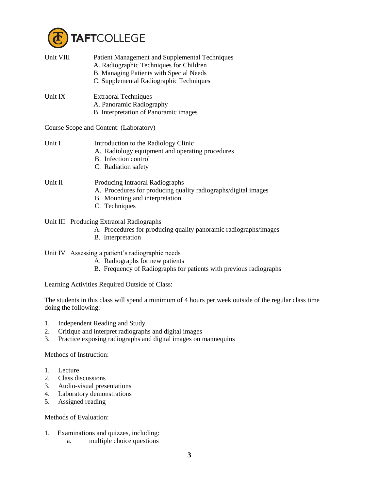

| Unit VIII | Patient Management and Supplemental Techniques<br>A. Radiographic Techniques for Children<br>B. Managing Patients with Special Needs<br>C. Supplemental Radiographic Techniques |  |
|-----------|---------------------------------------------------------------------------------------------------------------------------------------------------------------------------------|--|
| Unit IX   | <b>Extraoral Techniques</b><br>A. Panoramic Radiography<br>B. Interpretation of Panoramic images                                                                                |  |
|           | Course Scope and Content: (Laboratory)                                                                                                                                          |  |
| Unit I    | Introduction to the Radiology Clinic<br>A. Radiology equipment and operating procedures<br>B. Infection control<br>C. Radiation safety                                          |  |
| Unit II   | Producing Intraoral Radiographs<br>A. Procedures for producing quality radiographs/digital images<br>B. Mounting and interpretation<br>C. Techniques                            |  |
|           | Unit III Producing Extraoral Radiographs<br>A. Procedures for producing quality panoramic radiographs/images<br>B. Interpretation                                               |  |

Unit IV Assessing a patient's radiographic needs

- A. Radiographs for new patients
- B. Frequency of Radiographs for patients with previous radiographs

Learning Activities Required Outside of Class:

The students in this class will spend a minimum of 4 hours per week outside of the regular class time doing the following:

- 1. Independent Reading and Study
- 2. Critique and interpret radiographs and digital images
- 3. Practice exposing radiographs and digital images on mannequins

Methods of Instruction:

- 1. Lecture
- 2. Class discussions
- 3. Audio-visual presentations
- 4. Laboratory demonstrations
- 5. Assigned reading

Methods of Evaluation:

- 1. Examinations and quizzes, including:
	- a. multiple choice questions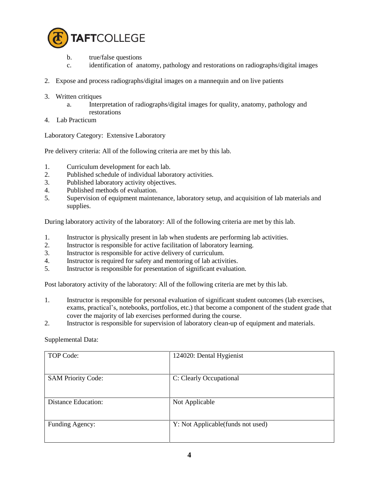

- b. true/false questions
- c. identification of anatomy, pathology and restorations on radiographs/digital images
- 2. Expose and process radiographs/digital images on a mannequin and on live patients
- 3. Written critiques
	- a. Interpretation of radiographs/digital images for quality, anatomy, pathology and restorations
- 4. Lab Practicum

Laboratory Category: Extensive Laboratory

Pre delivery criteria: All of the following criteria are met by this lab.

- 1. Curriculum development for each lab.
- 2. Published schedule of individual laboratory activities.
- 3. Published laboratory activity objectives.
- 4. Published methods of evaluation.
- 5. Supervision of equipment maintenance, laboratory setup, and acquisition of lab materials and supplies.

During laboratory activity of the laboratory: All of the following criteria are met by this lab.

- 1. Instructor is physically present in lab when students are performing lab activities.
- 2. Instructor is responsible for active facilitation of laboratory learning.
- 3. Instructor is responsible for active delivery of curriculum.
- 4. Instructor is required for safety and mentoring of lab activities.
- 5. Instructor is responsible for presentation of significant evaluation.

Post laboratory activity of the laboratory: All of the following criteria are met by this lab.

- 1. Instructor is responsible for personal evaluation of significant student outcomes (lab exercises, exams, practical's, notebooks, portfolios, etc.) that become a component of the student grade that cover the majority of lab exercises performed during the course.
- 2. Instructor is responsible for supervision of laboratory clean-up of equipment and materials.

Supplemental Data:

| TOP Code:                  | 124020: Dental Hygienist           |
|----------------------------|------------------------------------|
| <b>SAM Priority Code:</b>  | C: Clearly Occupational            |
| <b>Distance Education:</b> | Not Applicable                     |
| Funding Agency:            | Y: Not Applicable (funds not used) |